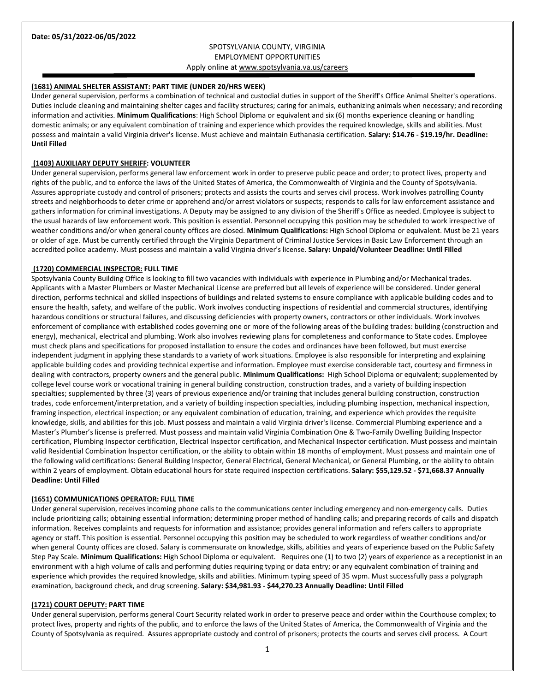# SPOTSYLVANIA COUNTY, VIRGINIA EMPLOYMENT OPPORTUNITIES Apply online a[t www.spotsylvania.va.us/careers](http://www.spotsylvania.va.us/careers)

#### **(1681) ANIMAL SHELTER ASSISTANT: PART TIME (UNDER 20/HRS WEEK)**

Under general supervision, performs a combination of technical and custodial duties in support of the Sheriff's Office Animal Shelter's operations. Duties include cleaning and maintaining shelter cages and facility structures; caring for animals, euthanizing animals when necessary; and recording information and activities. **Minimum Qualifications**: High School Diploma or equivalent and six (6) months experience cleaning or handling domestic animals; or any equivalent combination of training and experience which provides the required knowledge, skills and abilities. Must possess and maintain a valid Virginia driver's license. Must achieve and maintain Euthanasia certification. **Salary: \$14.76 - \$19.19/hr. Deadline: Until Filled**

#### **(1403) AUXILIARY DEPUTY SHERIFF: VOLUNTEER**

Under general supervision, performs general law enforcement work in order to preserve public peace and order; to protect lives, property and rights of the public, and to enforce the laws of the United States of America, the Commonwealth of Virginia and the County of Spotsylvania. Assures appropriate custody and control of prisoners; protects and assists the courts and serves civil process. Work involves patrolling County streets and neighborhoods to deter crime or apprehend and/or arrest violators or suspects; responds to calls for law enforcement assistance and gathers information for criminal investigations. A Deputy may be assigned to any division of the Sheriff's Office as needed. Employee is subject to the usual hazards of law enforcement work. This position is essential. Personnel occupying this position may be scheduled to work irrespective of weather conditions and/or when general county offices are closed. **Minimum Qualifications:** High School Diploma or equivalent. Must be 21 years or older of age. Must be currently certified through the Virginia Department of Criminal Justice Services in Basic Law Enforcement through an accredited police academy. Must possess and maintain a valid Virginia driver's license. **Salary: Unpaid/Volunteer Deadline: Until Filled**

### **(1720) COMMERCIAL INSPECTOR: FULL TIME**

Spotsylvania County Building Office is looking to fill two vacancies with individuals with experience in Plumbing and/or Mechanical trades. Applicants with a Master Plumbers or Master Mechanical License are preferred but all levels of experience will be considered. Under general direction, performs technical and skilled inspections of buildings and related systems to ensure compliance with applicable building codes and to ensure the health, safety, and welfare of the public. Work involves conducting inspections of residential and commercial structures, identifying hazardous conditions or structural failures, and discussing deficiencies with property owners, contractors or other individuals. Work involves enforcement of compliance with established codes governing one or more of the following areas of the building trades: building (construction and energy), mechanical, electrical and plumbing. Work also involves reviewing plans for completeness and conformance to State codes. Employee must check plans and specifications for proposed installation to ensure the codes and ordinances have been followed, but must exercise independent judgment in applying these standards to a variety of work situations. Employee is also responsible for interpreting and explaining applicable building codes and providing technical expertise and information. Employee must exercise considerable tact, courtesy and firmness in dealing with contractors, property owners and the general public. **Minimum Qualifications:** High School Diploma or equivalent; supplemented by college level course work or vocational training in general building construction, construction trades, and a variety of building inspection specialties; supplemented by three (3) years of previous experience and/or training that includes general building construction, construction trades, code enforcement/interpretation, and a variety of building inspection specialties, including plumbing inspection, mechanical inspection, framing inspection, electrical inspection; or any equivalent combination of education, training, and experience which provides the requisite knowledge, skills, and abilities for this job. Must possess and maintain a valid Virginia driver's license. Commercial Plumbing experience and a Master's Plumber's license is preferred. Must possess and maintain valid Virginia Combination One & Two-Family Dwelling Building Inspector certification, Plumbing Inspector certification, Electrical Inspector certification, and Mechanical Inspector certification. Must possess and maintain valid Residential Combination Inspector certification, or the ability to obtain within 18 months of employment. Must possess and maintain one of the following valid certifications: General Building Inspector, General Electrical, General Mechanical, or General Plumbing, or the ability to obtain within 2 years of employment. Obtain educational hours for state required inspection certifications. **Salary: \$55,129.52 - \$71,668.37 Annually Deadline: Until Filled**

### **(1651) COMMUNICATIONS OPERATOR: FULL TIME**

Under general supervision, receives incoming phone calls to the communications center including emergency and non-emergency calls. Duties include prioritizing calls; obtaining essential information; determining proper method of handling calls; and preparing records of calls and dispatch information. Receives complaints and requests for information and assistance; provides general information and refers callers to appropriate agency or staff. This position is essential. Personnel occupying this position may be scheduled to work regardless of weather conditions and/or when general County offices are closed. Salary is commensurate on knowledge, skills, abilities and years of experience based on the Public Safety Step Pay Scale. **Minimum Qualifications:** High School Diploma or equivalent. Requires one (1) to two (2) years of experience as a receptionist in an environment with a high volume of calls and performing duties requiring typing or data entry; or any equivalent combination of training and experience which provides the required knowledge, skills and abilities. Minimum typing speed of 35 wpm. Must successfully pass a polygraph examination, background check, and drug screening. **Salary: \$34,981.93 - \$44,270.23 Annually Deadline: Until Filled**

#### **(1721) COURT DEPUTY: PART TIME**

Under general supervision, performs general Court Security related work in order to preserve peace and order within the Courthouse complex; to protect lives, property and rights of the public, and to enforce the laws of the United States of America, the Commonwealth of Virginia and the County of Spotsylvania as required. Assures appropriate custody and control of prisoners; protects the courts and serves civil process. A Court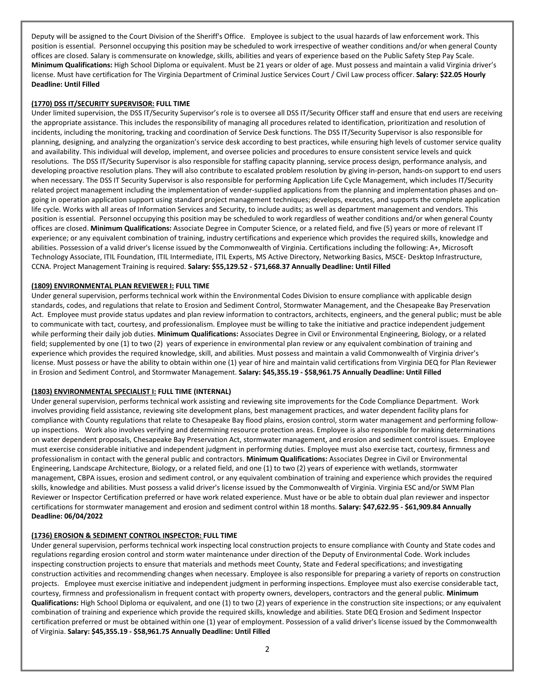Deputy will be assigned to the Court Division of the Sheriff's Office. Employee is subject to the usual hazards of law enforcement work. This position is essential. Personnel occupying this position may be scheduled to work irrespective of weather conditions and/or when general County offices are closed. Salary is commensurate on knowledge, skills, abilities and years of experience based on the Public Safety Step Pay Scale. **Minimum Qualifications:** High School Diploma or equivalent. Must be 21 years or older of age. Must possess and maintain a valid Virginia driver's license. Must have certification for The Virginia Department of Criminal Justice Services Court / Civil Law process officer. **Salary: \$22.05 Hourly Deadline: Until Filled**

## **(1770) DSS IT/SECURITY SUPERVISOR: FULL TIME**

Under limited supervision, the DSS IT/Security Supervisor's role is to oversee all DSS IT/Security Officer staff and ensure that end users are receiving the appropriate assistance. This includes the responsibility of managing all procedures related to identification, prioritization and resolution of incidents, including the monitoring, tracking and coordination of Service Desk functions. The DSS IT/Security Supervisor is also responsible for planning, designing, and analyzing the organization's service desk according to best practices, while ensuring high levels of customer service quality and availability. This individual will develop, implement, and oversee policies and procedures to ensure consistent service levels and quick resolutions. The DSS IT/Security Supervisor is also responsible for staffing capacity planning, service process design, performance analysis, and developing proactive resolution plans. They will also contribute to escalated problem resolution by giving in-person, hands-on support to end users when necessary. The DSS IT Security Supervisor is also responsible for performing Application Life Cycle Management, which includes IT/Security related project management including the implementation of vender-supplied applications from the planning and implementation phases and ongoing in operation application support using standard project management techniques; develops, executes, and supports the complete application life cycle. Works with all areas of Information Services and Security, to include audits; as well as department management and vendors. This position is essential. Personnel occupying this position may be scheduled to work regardless of weather conditions and/or when general County offices are closed. **Minimum Qualifications:** Associate Degree in Computer Science, or a related field, and five (5) years or more of relevant IT experience; or any equivalent combination of training, industry certifications and experience which provides the required skills, knowledge and abilities. Possession of a valid driver's license issued by the Commonwealth of Virginia. Certifications including the following: A+, Microsoft Technology Associate, ITIL Foundation, ITIL Intermediate, ITIL Experts, MS Active Directory, Networking Basics, MSCE- Desktop Infrastructure, CCNA. Project Management Training is required. **Salary: \$55,129.52 - \$71,668.37 Annually Deadline: Until Filled**

## **(1809) ENVIRONMENTAL PLAN REVIEWER I: FULL TIME**

Under general supervision, performs technical work within the Environmental Codes Division to ensure compliance with applicable design standards, codes, and regulations that relate to Erosion and Sediment Control, Stormwater Management, and the Chesapeake Bay Preservation Act. Employee must provide status updates and plan review information to contractors, architects, engineers, and the general public; must be able to communicate with tact, courtesy, and professionalism. Employee must be willing to take the initiative and practice independent judgement while performing their daily job duties. **Minimum Qualifications:** Associates Degree in Civil or Environmental Engineering, Biology, or a related field; supplemented by one (1) to two (2) years of experience in environmental plan review or any equivalent combination of training and experience which provides the required knowledge, skill, and abilities. Must possess and maintain a valid Commonwealth of Virginia driver's license. Must possess or have the ability to obtain within one (1) year of hire and maintain valid certifications from Virginia DEQ for Plan Reviewer in Erosion and Sediment Control, and Stormwater Management. **Salary: \$45,355.19 - \$58,961.75 Annually Deadline: Until Filled**

# **(1803) ENVIRONMENTAL SPECIALIST I: FULL TIME (INTERNAL)**

Under general supervision, performs technical work assisting and reviewing site improvements for the Code Compliance Department. Work involves providing field assistance, reviewing site development plans, best management practices, and water dependent facility plans for compliance with County regulations that relate to Chesapeake Bay flood plains, erosion control, storm water management and performing followup inspections. Work also involves verifying and determining resource protection areas. Employee is also responsible for making determinations on water dependent proposals, Chesapeake Bay Preservation Act, stormwater management, and erosion and sediment control issues. Employee must exercise considerable initiative and independent judgment in performing duties. Employee must also exercise tact, courtesy, firmness and professionalism in contact with the general public and contractors. **Minimum Qualifications:** Associates Degree in Civil or Environmental Engineering, Landscape Architecture, Biology, or a related field, and one (1) to two (2) years of experience with wetlands, stormwater management, CBPA issues, erosion and sediment control, or any equivalent combination of training and experience which provides the required skills, knowledge and abilities. Must possess a valid driver's license issued by the Commonwealth of Virginia. Virginia ESC and/or SWM Plan Reviewer or Inspector Certification preferred or have work related experience. Must have or be able to obtain dual plan reviewer and inspector certifications for stormwater management and erosion and sediment control within 18 months. **Salary: \$47,622.95 - \$61,909.84 Annually Deadline: 06/04/2022**

# **(1736) EROSION & SEDIMENT CONTROL INSPECTOR: FULL TIME**

Under general supervision, performs technical work inspecting local construction projects to ensure compliance with County and State codes and regulations regarding erosion control and storm water maintenance under direction of the Deputy of Environmental Code. Work includes inspecting construction projects to ensure that materials and methods meet County, State and Federal specifications; and investigating construction activities and recommending changes when necessary. Employee is also responsible for preparing a variety of reports on construction projects. Employee must exercise initiative and independent judgment in performing inspections. Employee must also exercise considerable tact, courtesy, firmness and professionalism in frequent contact with property owners, developers, contractors and the general public. **Minimum Qualifications:** High School Diploma or equivalent, and one (1) to two (2) years of experience in the construction site inspections; or any equivalent combination of training and experience which provide the required skills, knowledge and abilities. State DEQ Erosion and Sediment Inspector certification preferred or must be obtained within one (1) year of employment. Possession of a valid driver's license issued by the Commonwealth of Virginia. **Salary: \$45,355.19 - \$58,961.75 Annually Deadline: Until Filled**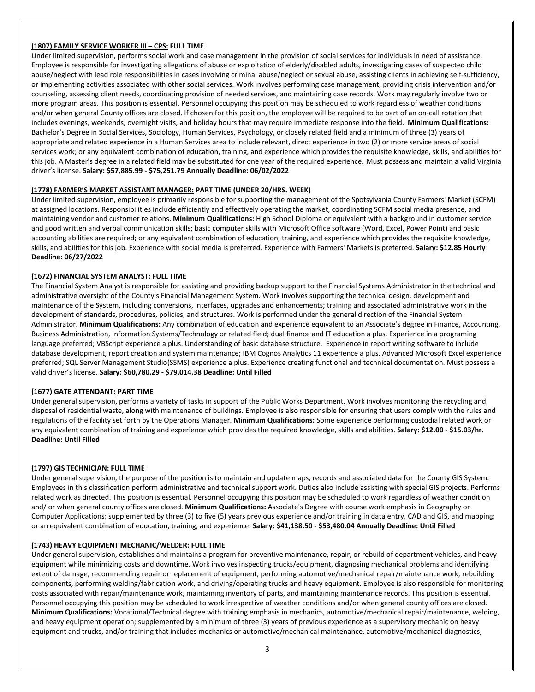## **(1807) FAMILY SERVICE WORKER III – CPS: FULL TIME**

Under limited supervision, performs social work and case management in the provision of social services for individuals in need of assistance. Employee is responsible for investigating allegations of abuse or exploitation of elderly/disabled adults, investigating cases of suspected child abuse/neglect with lead role responsibilities in cases involving criminal abuse/neglect or sexual abuse, assisting clients in achieving self-sufficiency, or implementing activities associated with other social services. Work involves performing case management, providing crisis intervention and/or counseling, assessing client needs, coordinating provision of needed services, and maintaining case records. Work may regularly involve two or more program areas. This position is essential. Personnel occupying this position may be scheduled to work regardless of weather conditions and/or when general County offices are closed. If chosen for this position, the employee will be required to be part of an on-call rotation that includes evenings, weekends, overnight visits, and holiday hours that may require immediate response into the field. **Minimum Qualifications:** Bachelor's Degree in Social Services, Sociology, Human Services, Psychology, or closely related field and a minimum of three (3) years of appropriate and related experience in a Human Services area to include relevant, direct experience in two (2) or more service areas of social services work; or any equivalent combination of education, training, and experience which provides the requisite knowledge, skills, and abilities for this job. A Master's degree in a related field may be substituted for one year of the required experience. Must possess and maintain a valid Virginia driver's license. **Salary: \$57,885.99 - \$75,251.79 Annually Deadline: 06/02/2022**

## **(1778) FARMER'S MARKET ASSISTANT MANAGER: PART TIME (UNDER 20/HRS. WEEK)**

Under limited supervision, employee is primarily responsible for supporting the management of the Spotsylvania County Farmers' Market (SCFM) at assigned locations. Responsibilities include efficiently and effectively operating the market, coordinating SCFM social media presence, and maintaining vendor and customer relations. **Minimum Qualifications:** High School Diploma or equivalent with a background in customer service and good written and verbal communication skills; basic computer skills with Microsoft Office software (Word, Excel, Power Point) and basic accounting abilities are required; or any equivalent combination of education, training, and experience which provides the requisite knowledge, skills, and abilities for this job. Experience with social media is preferred. Experience with Farmers' Markets is preferred. **Salary: \$12.85 Hourly Deadline: 06/27/2022**

### **(1672) FINANCIAL SYSTEM ANALYST: FULL TIME**

The Financial System Analyst is responsible for assisting and providing backup support to the Financial Systems Administrator in the technical and administrative oversight of the County's Financial Management System. Work involves supporting the technical design, development and maintenance of the System, including conversions, interfaces, upgrades and enhancements; training and associated administrative work in the development of standards, procedures, policies, and structures. Work is performed under the general direction of the Financial System Administrator. **Minimum Qualifications:** Any combination of education and experience equivalent to an Associate's degree in Finance, Accounting, Business Administration, Information Systems/Technology or related field; dual finance and IT education a plus. Experience in a programing language preferred; VBScript experience a plus. Understanding of basic database structure. Experience in report writing software to include database development, report creation and system maintenance; IBM Cognos Analytics 11 experience a plus. Advanced Microsoft Excel experience preferred; SQL Server Management Studio(SSMS) experience a plus. Experience creating functional and technical documentation. Must possess a valid driver's license. **Salary: \$60,780.29 - \$79,014.38 Deadline: Until Filled**

### **(1677) GATE ATTENDANT: PART TIME**

Under general supervision, performs a variety of tasks in support of the Public Works Department. Work involves monitoring the recycling and disposal of residential waste, along with maintenance of buildings. Employee is also responsible for ensuring that users comply with the rules and regulations of the facility set forth by the Operations Manager. **Minimum Qualifications:** Some experience performing custodial related work or any equivalent combination of training and experience which provides the required knowledge, skills and abilities. **Salary: \$12.00 - \$15.03/hr. Deadline: Until Filled**

# **(1797) GIS TECHNICIAN: FULL TIME**

Under general supervision, the purpose of the position is to maintain and update maps, records and associated data for the County GIS System. Employees in this classification perform administrative and technical support work. Duties also include assisting with special GIS projects. Performs related work as directed. This position is essential. Personnel occupying this position may be scheduled to work regardless of weather condition and/ or when general county offices are closed. **Minimum Qualifications:** Associate's Degree with course work emphasis in Geography or Computer Applications; supplemented by three (3) to five (5) years previous experience and/or training in data entry, CAD and GIS, and mapping; or an equivalent combination of education, training, and experience. **Salary: \$41,138.50 - \$53,480.04 Annually Deadline: Until Filled**

# **(1743) HEAVY EQUIPMENT MECHANIC/WELDER: FULL TIME**

Under general supervision, establishes and maintains a program for preventive maintenance, repair, or rebuild of department vehicles, and heavy equipment while minimizing costs and downtime. Work involves inspecting trucks/equipment, diagnosing mechanical problems and identifying extent of damage, recommending repair or replacement of equipment, performing automotive/mechanical repair/maintenance work, rebuilding components, performing welding/fabrication work, and driving/operating trucks and heavy equipment. Employee is also responsible for monitoring costs associated with repair/maintenance work, maintaining inventory of parts, and maintaining maintenance records. This position is essential. Personnel occupying this position may be scheduled to work irrespective of weather conditions and/or when general county offices are closed. **Minimum Qualifications:** Vocational/Technical degree with training emphasis in mechanics, automotive/mechanical repair/maintenance, welding, and heavy equipment operation; supplemented by a minimum of three (3) years of previous experience as a supervisory mechanic on heavy equipment and trucks, and/or training that includes mechanics or automotive/mechanical maintenance, automotive/mechanical diagnostics,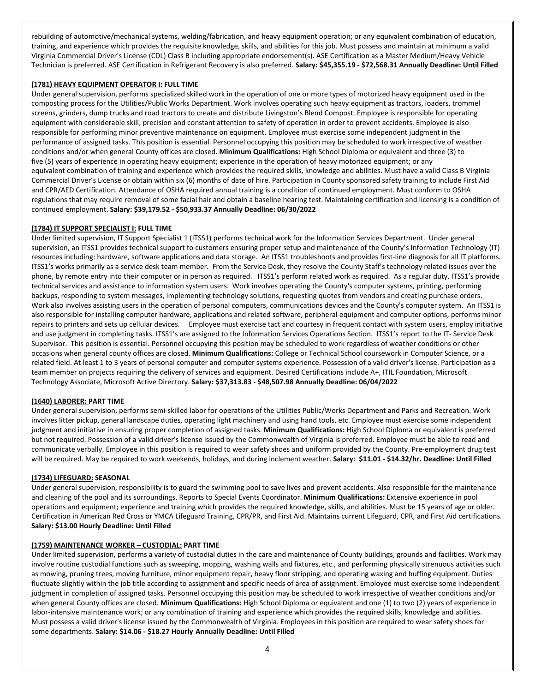rebuilding of automotive/mechanical systems, welding/fabrication, and heavy equipment operation; or any equivalent combination of education, training, and experience which provides the requisite knowledge, skills, and abilities for this job. Must possess and maintain at minimum a valid Virginia Commercial Driver's License (CDL) Class B including appropriate endorsement(s). ASE Certification as a Master Medium/Heavy Vehicle Technician is preferred. ASE Certification in Refrigerant Recovery is also preferred. **Salary: \$45,355.19 - \$72,568.31 Annually Deadline: Until Filled**

### **(1781) HEAVY EQUIPMENT OPERATOR I: FULL TIME**

Under general supervision, performs specialized skilled work in the operation of one or more types of motorized heavy equipment used in the composting process for the Utilities/Public Works Department. Work involves operating such heavy equipment as tractors, loaders, trommel screens, grinders, dump trucks and road tractors to create and distribute Livingston's Blend Compost. Employee is responsible for operating equipment with considerable skill, precision and constant attention to safety of operation in order to prevent accidents. Employee is also responsible for performing minor preventive maintenance on equipment. Employee must exercise some independent judgment in the performance of assigned tasks. This position is essential. Personnel occupying this position may be scheduled to work irrespective of weather conditions and/or when general County offices are closed. **Minimum Qualifications:** High School Diploma or equivalent and three (3) to five (5) years of experience in operating heavy equipment; experience in the operation of heavy motorized equipment; or any equivalent combination of training and experience which provides the required skills, knowledge and abilities. Must have a valid Class B Virginia Commercial Driver's License or obtain within six (6) months of date of hire. Participation in County sponsored safety training to include First Aid and CPR/AED Certification. Attendance of OSHA required annual training is a condition of continued employment. Must conform to OSHA regulations that may require removal of some facial hair and obtain a baseline hearing test. Maintaining certification and licensing is a condition of continued employment. **Salary: \$39,179.52 - \$50,933.37 Annually Deadline: 06/30/2022**

## **(1784) IT SUPPORT SPECIALIST I: FULL TIME**

Under limited supervision, IT Support Specialist 1 (ITSS1) performs technical work for the Information Services Department. Under general supervision, an ITSS1 provides technical support to customers ensuring proper setup and maintenance of the County's Information Technology (IT) resources including: hardware, software applications and data storage. An ITSS1 troubleshoots and provides first-line diagnosis for all IT platforms. ITSS1's works primarily as a service desk team member. From the Service Desk, they resolve the County Staff's technology related issues over the phone, by remote entry into their computer or in person as required. ITSS1's perform related work as required. As a regular duty, ITSS1's provide technical services and assistance to information system users. Work involves operating the County's computer systems, printing, performing backups, responding to system messages, implementing technology solutions, requesting quotes from vendors and creating purchase orders. Work also involves assisting users in the operation of personal computers, communications devices and the County's computer system. An ITSS1 is also responsible for installing computer hardware, applications and related software, peripheral equipment and computer options, performs minor repairs to printers and sets up cellular devices. Employee must exercise tact and courtesy in frequent contact with system users, employ initiative and use judgment in completing tasks. ITSS1's are assigned to the Information Services Operations Section. ITSS1's report to the IT- Service Desk Supervisor. This position is essential. Personnel occupying this position may be scheduled to work regardless of weather conditions or other occasions when general county offices are closed. **Minimum Qualifications:** College or Technical School coursework in Computer Science, or a related field. At least 1 to 3 years of personal computer and computer systems experience. Possession of a valid driver's license. Participation as a team member on projects requiring the delivery of services and equipment. Desired Certifications include A+, ITIL Foundation, Microsoft Technology Associate, Microsoft Active Directory. **Salary: \$37,313.83 - \$48,507.98 Annually Deadline: 06/04/2022**

### **(1640) LABORER: PART TIME**

Under general supervision, performs semi-skilled labor for operations of the Utilities Public/Works Department and Parks and Recreation. Work involves litter pickup, general landscape duties, operating light machinery and using hand tools, etc. Employee must exercise some independent judgment and initiative in ensuring proper completion of assigned tasks. **Minimum Qualifications:** High School Diploma or equivalent is preferred but not required. Possession of a valid driver's license issued by the Commonwealth of Virginia is preferred. Employee must be able to read and communicate verbally. Employee in this position is required to wear safety shoes and uniform provided by the County. Pre-employment drug test will be required. May be required to work weekends, holidays, and during inclement weather. **Salary: \$11.01 - \$14.32/hr. Deadline: Until Filled**

### **(1734) LIFEGUARD: SEASONAL**

Under general supervision, responsibility is to guard the swimming pool to save lives and prevent accidents. Also responsible for the maintenance and cleaning of the pool and its surroundings. Reports to Special Events Coordinator. **Minimum Qualifications:** Extensive experience in pool operations and equipment; experience and training which provides the required knowledge, skills, and abilities. Must be 15 years of age or older. Certification in American Red Cross or YMCA Lifeguard Training, CPR/PR, and First Aid. Maintains current Lifeguard, CPR, and First Aid certifications. **Salary: \$13.00 Hourly Deadline: Until Filled**

# **(1759) MAINTENANCE WORKER – CUSTODIAL: PART TIME**

Under limited supervision, performs a variety of custodial duties in the care and maintenance of County buildings, grounds and facilities. Work may involve routine custodial functions such as sweeping, mopping, washing walls and fixtures, etc., and performing physically strenuous activities such as mowing, pruning trees, moving furniture, minor equipment repair, heavy floor stripping, and operating waxing and buffing equipment. Duties fluctuate slightly within the job title according to assignment and specific needs of area of assignment. Employee must exercise some independent judgment in completion of assigned tasks. Personnel occupying this position may be scheduled to work irrespective of weather conditions and/or when general County offices are closed. **Minimum Qualifications:** High School Diploma or equivalent and one (1) to two (2) years of experience in labor-intensive maintenance work; or any combination of training and experience which provides the required skills, knowledge and abilities. Must possess a valid driver's license issued by the Commonwealth of Virginia. Employees in this position are required to wear safety shoes for some departments. **Salary: \$14.06 - \$18.27 Hourly Annually Deadline: Until Filled**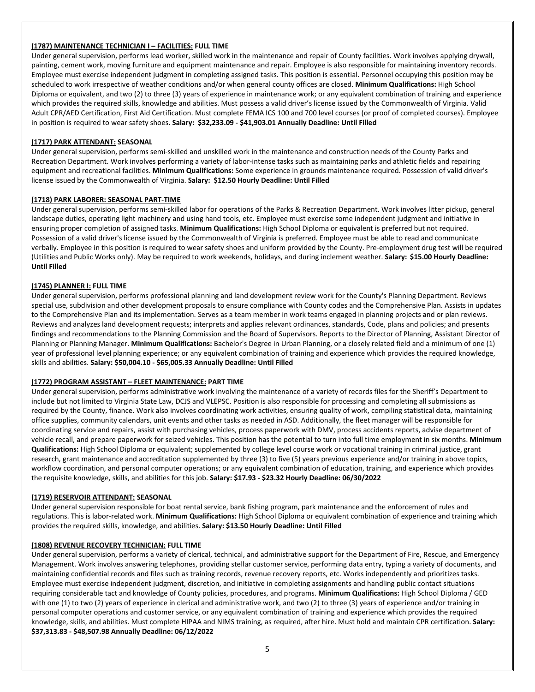# **(1787) MAINTENANCE TECHNICIAN I – FACILITIES: FULL TIME**

Under general supervision, performs lead worker, skilled work in the maintenance and repair of County facilities. Work involves applying drywall, painting, cement work, moving furniture and equipment maintenance and repair. Employee is also responsible for maintaining inventory records. Employee must exercise independent judgment in completing assigned tasks. This position is essential. Personnel occupying this position may be scheduled to work irrespective of weather conditions and/or when general county offices are closed. **Minimum Qualifications:** High School Diploma or equivalent, and two (2) to three (3) years of experience in maintenance work; or any equivalent combination of training and experience which provides the required skills, knowledge and abilities. Must possess a valid driver's license issued by the Commonwealth of Virginia. Valid Adult CPR/AED Certification, First Aid Certification. Must complete FEMA ICS 100 and 700 level courses (or proof of completed courses). Employee in position is required to wear safety shoes. **Salary: \$32,233.09 - \$41,903.01 Annually Deadline: Until Filled**

## **(1717) PARK ATTENDANT: SEASONAL**

Under general supervision, performs semi-skilled and unskilled work in the maintenance and construction needs of the County Parks and Recreation Department. Work involves performing a variety of labor-intense tasks such as maintaining parks and athletic fields and repairing equipment and recreational facilities. **Minimum Qualifications:** Some experience in grounds maintenance required. Possession of valid driver's license issued by the Commonwealth of Virginia. **Salary: \$12.50 Hourly Deadline: Until Filled**

## **(1718) PARK LABORER: SEASONAL PART-TIME**

Under general supervision, performs semi-skilled labor for operations of the Parks & Recreation Department. Work involves litter pickup, general landscape duties, operating light machinery and using hand tools, etc. Employee must exercise some independent judgment and initiative in ensuring proper completion of assigned tasks. **Minimum Qualifications:** High School Diploma or equivalent is preferred but not required. Possession of a valid driver's license issued by the Commonwealth of Virginia is preferred. Employee must be able to read and communicate verbally. Employee in this position is required to wear safety shoes and uniform provided by the County. Pre-employment drug test will be required (Utilities and Public Works only). May be required to work weekends, holidays, and during inclement weather. **Salary: \$15.00 Hourly Deadline: Until Filled**

### **(1745) PLANNER I: FULL TIME**

Under general supervision, performs professional planning and land development review work for the County's Planning Department. Reviews special use, subdivision and other development proposals to ensure compliance with County codes and the Comprehensive Plan. Assists in updates to the Comprehensive Plan and its implementation. Serves as a team member in work teams engaged in planning projects and or plan reviews. Reviews and analyzes land development requests; interprets and applies relevant ordinances, standards, Code, plans and policies; and presents findings and recommendations to the Planning Commission and the Board of Supervisors. Reports to the Director of Planning, Assistant Director of Planning or Planning Manager. **Minimum Qualifications:** Bachelor's Degree in Urban Planning, or a closely related field and a minimum of one (1) year of professional level planning experience; or any equivalent combination of training and experience which provides the required knowledge, skills and abilities. **Salary: \$50,004.10 - \$65,005.33 Annually Deadline: Until Filled**

### **(1772) PROGRAM ASSISTANT – FLEET MAINTENANCE: PART TIME**

Under general supervision, performs administrative work involving the maintenance of a variety of records files for the Sheriff's Department to include but not limited to Virginia State Law, DCJS and VLEPSC. Position is also responsible for processing and completing all submissions as required by the County, finance. Work also involves coordinating work activities, ensuring quality of work, compiling statistical data, maintaining office supplies, community calendars, unit events and other tasks as needed in ASD. Additionally, the fleet manager will be responsible for coordinating service and repairs, assist with purchasing vehicles, process paperwork with DMV, process accidents reports, advise department of vehicle recall, and prepare paperwork for seized vehicles. This position has the potential to turn into full time employment in six months. **Minimum Qualifications:** High School Diploma or equivalent; supplemented by college level course work or vocational training in criminal justice, grant research, grant maintenance and accreditation supplemented by three (3) to five (5) years previous experience and/or training in above topics, workflow coordination, and personal computer operations; or any equivalent combination of education, training, and experience which provides the requisite knowledge, skills, and abilities for this job. **Salary: \$17.93 - \$23.32 Hourly Deadline: 06/30/2022**

### **(1719) RESERVOIR ATTENDANT: SEASONAL**

Under general supervision responsible for boat rental service, bank fishing program, park maintenance and the enforcement of rules and regulations. This is labor-related work. **Minimum Qualifications:** High School Diploma or equivalent combination of experience and training which provides the required skills, knowledge, and abilities. **Salary: \$13.50 Hourly Deadline: Until Filled**

### **(1808) REVENUE RECOVERY TECHNICIAN: FULL TIME**

Under general supervision, performs a variety of clerical, technical, and administrative support for the Department of Fire, Rescue, and Emergency Management. Work involves answering telephones, providing stellar customer service, performing data entry, typing a variety of documents, and maintaining confidential records and files such as training records, revenue recovery reports, etc. Works independently and prioritizes tasks. Employee must exercise independent judgment, discretion, and initiative in completing assignments and handling public contact situations requiring considerable tact and knowledge of County policies, procedures, and programs. **Minimum Qualifications:** High School Diploma / GED with one (1) to two (2) years of experience in clerical and administrative work, and two (2) to three (3) years of experience and/or training in personal computer operations and customer service, or any equivalent combination of training and experience which provides the required knowledge, skills, and abilities. Must complete HIPAA and NIMS training, as required, after hire. Must hold and maintain CPR certification. **Salary: \$37,313.83 - \$48,507.98 Annually Deadline: 06/12/2022**